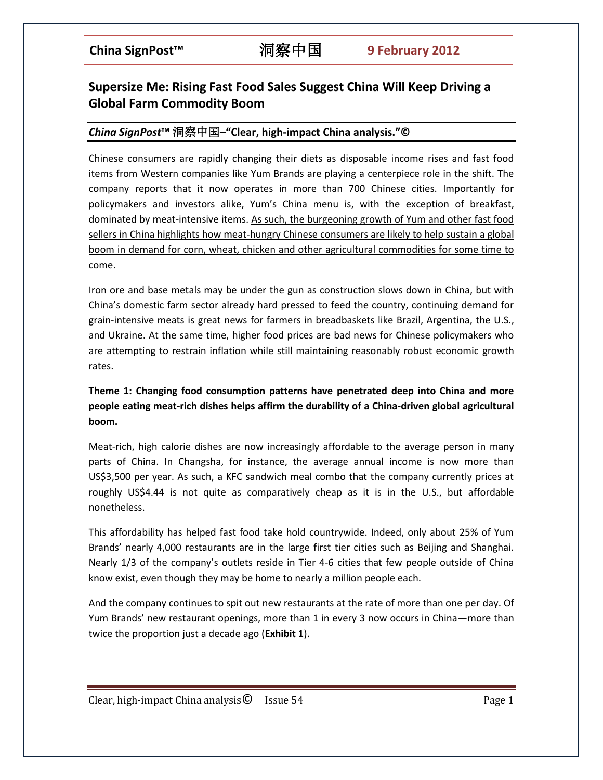# **Supersize Me: Rising Fast Food Sales Suggest China Will Keep Driving a Global Farm Commodity Boom**

### *China SignPost***™** 洞察中国**–"Clear, high-impact China analysis."©**

Chinese consumers are rapidly changing their diets as disposable income rises and fast food items from Western companies like Yum Brands are playing a centerpiece role in the shift. The company reports that it now operates in more than 700 Chinese cities. Importantly for policymakers and investors alike, Yum's China menu is, with the exception of breakfast, dominated by meat-intensive items. As such, the burgeoning growth of Yum and other fast food sellers in China highlights how meat-hungry Chinese consumers are likely to help sustain a global boom in demand for corn, wheat, chicken and other agricultural commodities for some time to come.

Iron ore and base metals may be under the gun as construction slows down in China, but with China's domestic farm sector already hard pressed to feed the country, continuing demand for grain-intensive meats is great news for farmers in breadbaskets like Brazil, Argentina, the U.S., and Ukraine. At the same time, higher food prices are bad news for Chinese policymakers who are attempting to restrain inflation while still maintaining reasonably robust economic growth rates.

## **Theme 1: Changing food consumption patterns have penetrated deep into China and more people eating meat-rich dishes helps affirm the durability of a China-driven global agricultural boom.**

Meat-rich, high calorie dishes are now increasingly affordable to the average person in many parts of China. In Changsha, for instance, the average annual income is now more than US\$3,500 per year. As such, a KFC sandwich meal combo that the company currently prices at roughly US\$4.44 is not quite as comparatively cheap as it is in the U.S., but affordable nonetheless.

This affordability has helped fast food take hold countrywide. Indeed, only about 25% of Yum Brands' nearly 4,000 restaurants are in the large first tier cities such as Beijing and Shanghai. Nearly 1/3 of the company's outlets reside in Tier 4-6 cities that few people outside of China know exist, even though they may be home to nearly a million people each.

And the company continues to spit out new restaurants at the rate of more than one per day. Of Yum Brands' new restaurant openings, more than 1 in every 3 now occurs in China—more than twice the proportion just a decade ago (**Exhibit 1**).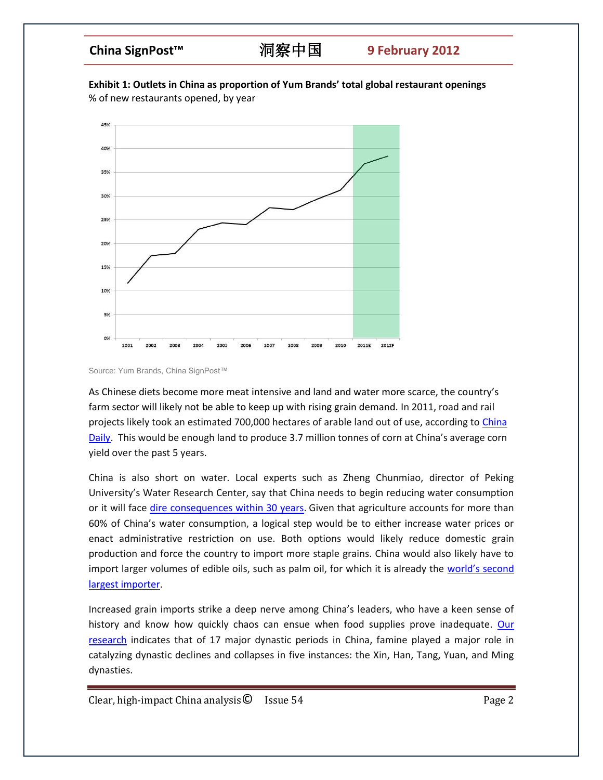# **China SignPost™** 洞察中国 **9 February 2012**

**Exhibit 1: Outlets in China as proportion of Yum Brands' total global restaurant openings**  % of new restaurants opened, by year



Source: Yum Brands, China SignPost™

As Chinese diets become more meat intensive and land and water more scarce, the country's farm sector will likely not be able to keep up with rising grain demand. In 2011, road and rail projects likely took an estimated 700,000 hectares of arable land out of use, according to China [Daily.](http://www.chinadaily.com.cn/business/2011-03/25/content_12228727.htm) This would be enough land to produce 3.7 million tonnes of corn at China's average corn yield over the past 5 years.

China is also short on water. Local experts such as Zheng Chunmiao, director of Peking University's Water Research Center, say that China needs to begin reducing water consumption or it will face [dire consequences within 30 years.](http://www.guardian.co.uk/environment/2011/jun/28/china-food-water) Given that agriculture accounts for more than 60% of China's water consumption, a logical step would be to either increase water prices or enact administrative restriction on use. Both options would likely reduce domestic grain production and force the country to import more staple grains. China would also likely have to import larger volumes of edible oils, such as palm oil, for which it is already the world's second [largest importer.](http://www.bloomberg.com/news/2011-05-23/china-palm-oil-imports-rise-as-warmer-weather-boosts-demand-1-.html)

Increased grain imports strike a deep nerve among China's leaders, who have a keen sense of history and know how quickly chaos can ensue when food supplies prove inadequate. [Our](http://www.chinasignpost.com/2011/02/468/)  [research](http://www.chinasignpost.com/2011/02/468/) indicates that of 17 major dynastic periods in China, famine played a major role in catalyzing dynastic declines and collapses in five instances: the Xin, Han, Tang, Yuan, and Ming dynasties.

 $Clear, high-impact China analysis  $\odot$  Issue 54 Page 2$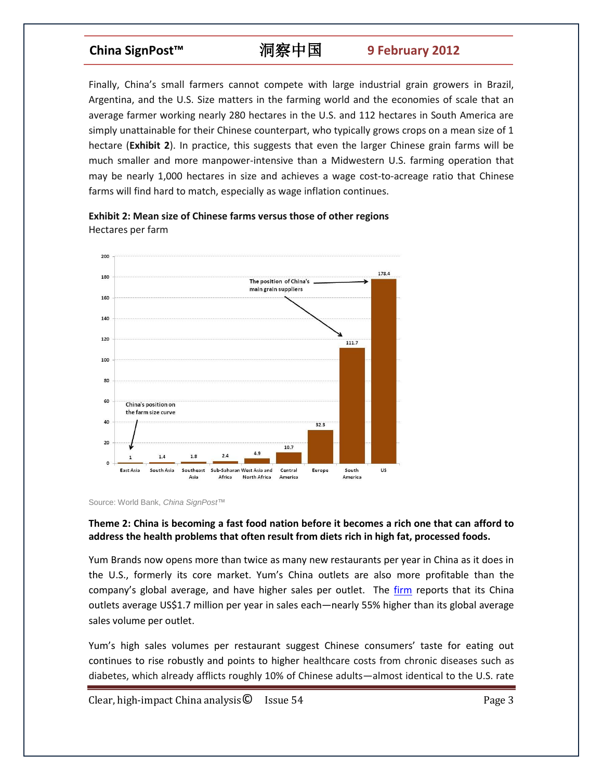# **China SignPost™** 洞察中国 **9 February 2012**

Finally, China's small farmers cannot compete with large industrial grain growers in Brazil, Argentina, and the U.S. Size matters in the farming world and the economies of scale that an average farmer working nearly 280 hectares in the U.S. and 112 hectares in South America are simply unattainable for their Chinese counterpart, who typically grows crops on a mean size of 1 hectare (**Exhibit 2**). In practice, this suggests that even the larger Chinese grain farms will be much smaller and more manpower-intensive than a Midwestern U.S. farming operation that may be nearly 1,000 hectares in size and achieves a wage cost-to-acreage ratio that Chinese farms will find hard to match, especially as wage inflation continues.



**Exhibit 2: Mean size of Chinese farms versus those of other regions** Hectares per farm

### **Theme 2: China is becoming a fast food nation before it becomes a rich one that can afford to address the health problems that often result from diets rich in high fat, processed foods.**

Yum Brands now opens more than twice as many new restaurants per year in China as it does in the U.S., formerly its core market. Yum's China outlets are also more profitable than the company's global average, and have higher sales per outlet. The *firm* reports that its China outlets average US\$1.7 million per year in sales each—nearly 55% higher than its global average sales volume per outlet.

Yum's high sales volumes per restaurant suggest Chinese consumers' taste for eating out continues to rise robustly and points to higher healthcare costs from chronic diseases such as diabetes, which already afflicts roughly 10% of Chinese adults—almost identical to the U.S. rate

Clear, high-impact China analysis  $\bullet$  Issue 54 Page 3

Source: World Bank, *China SignPost*™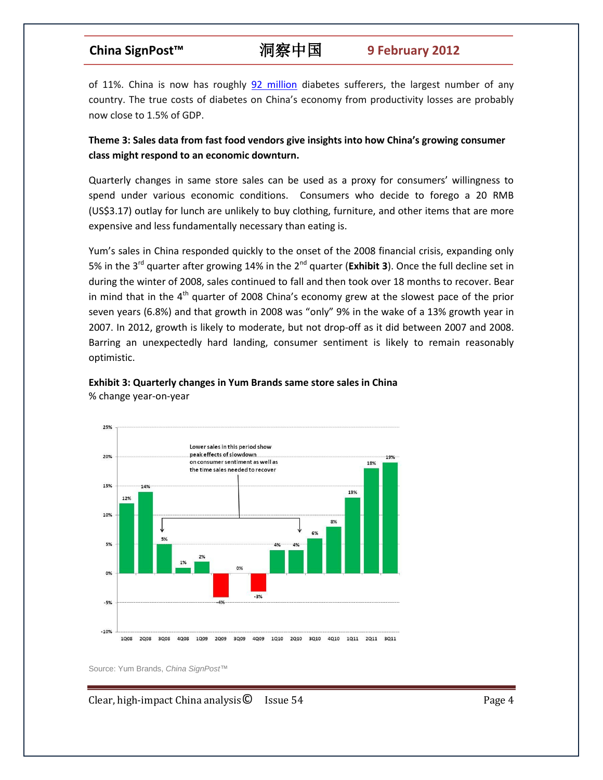of 11%. China is now has roughly [92 million](http://www.idf.org/webdata/Call-to-Action-on-Diabetes.pdf) diabetes sufferers, the largest number of any country. The true costs of diabetes on China's economy from productivity losses are probably now close to 1.5% of GDP.

**Theme 3: Sales data from fast food vendors give insights into how China's growing consumer class might respond to an economic downturn.**

Quarterly changes in same store sales can be used as a proxy for consumers' willingness to spend under various economic conditions. Consumers who decide to forego a 20 RMB (US\$3.17) outlay for lunch are unlikely to buy clothing, furniture, and other items that are more expensive and less fundamentally necessary than eating is.

Yum's sales in China responded quickly to the onset of the 2008 financial crisis, expanding only 5% in the 3<sup>rd</sup> quarter after growing 14% in the 2<sup>nd</sup> quarter (**Exhibit 3**). Once the full decline set in during the winter of 2008, sales continued to fall and then took over 18 months to recover. Bear in mind that in the  $4<sup>th</sup>$  quarter of 2008 China's economy grew at the slowest pace of the prior seven years (6.8%) and that growth in 2008 was "only" 9% in the wake of a 13% growth year in 2007. In 2012, growth is likely to moderate, but not drop-off as it did between 2007 and 2008. Barring an unexpectedly hard landing, consumer sentiment is likely to remain reasonably optimistic.





Source: Yum Brands, *China SignPost*™

Clear, high-impact China analysis  $\bullet$  Issue 54 Page 4